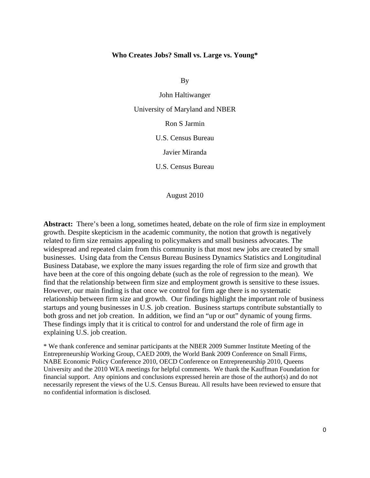#### **Who Creates Jobs? Small vs. Large vs. Young\***

By

John Haltiwanger University of Maryland and NBER Ron S Jarmin U.S. Census Bureau Javier Miranda U.S. Census Bureau

August 2010

**Abstract:** There's been a long, sometimes heated, debate on the role of firm size in employment growth. Despite skepticism in the academic community, the notion that growth is negatively related to firm size remains appealing to policymakers and small business advocates. The widespread and repeated claim from this community is that most new jobs are created by small businesses. Using data from the Census Bureau Business Dynamics Statistics and Longitudinal Business Database, we explore the many issues regarding the role of firm size and growth that have been at the core of this ongoing debate (such as the role of regression to the mean). We find that the relationship between firm size and employment growth is sensitive to these issues. However, our main finding is that once we control for firm age there is no systematic relationship between firm size and growth. Our findings highlight the important role of business startups and young businesses in U.S. job creation. Business startups contribute substantially to both gross and net job creation. In addition, we find an "up or out" dynamic of young firms. These findings imply that it is critical to control for and understand the role of firm age in explaining U.S. job creation.

\* We thank conference and seminar participants at the NBER 2009 Summer Institute Meeting of the Entrepreneurship Working Group, CAED 2009, the World Bank 2009 Conference on Small Firms, NABE Economic Policy Conference 2010, OECD Conference on Entrepreneurship 2010, Queens University and the 2010 WEA meetings for helpful comments. We thank the Kauffman Foundation for financial support. Any opinions and conclusions expressed herein are those of the author(s) and do not necessarily represent the views of the U.S. Census Bureau. All results have been reviewed to ensure that no confidential information is disclosed.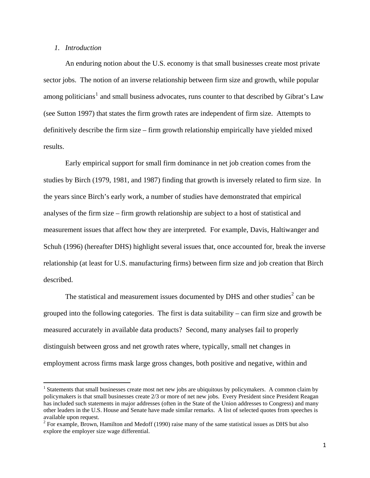### *1. Introduction*

An enduring notion about the U.S. economy is that small businesses create most private sector jobs. The notion of an inverse relationship between firm size and growth, while popular among politicians<sup>[1](#page-1-0)</sup> and small business advocates, runs counter to that described by Gibrat's Law (see Sutton 1997) that states the firm growth rates are independent of firm size. Attempts to definitively describe the firm size – firm growth relationship empirically have yielded mixed results.

Early empirical support for small firm dominance in net job creation comes from the studies by Birch (1979, 1981, and 1987) finding that growth is inversely related to firm size. In the years since Birch's early work, a number of studies have demonstrated that empirical analyses of the firm size – firm growth relationship are subject to a host of statistical and measurement issues that affect how they are interpreted. For example, Davis, Haltiwanger and Schuh (1996) (hereafter DHS) highlight several issues that, once accounted for, break the inverse relationship (at least for U.S. manufacturing firms) between firm size and job creation that Birch described.

The statistical and measurement issues documented by DHS and other studies<sup>[2](#page-1-1)</sup> can be grouped into the following categories. The first is data suitability – can firm size and growth be measured accurately in available data products? Second, many analyses fail to properly distinguish between gross and net growth rates where, typically, small net changes in employment across firms mask large gross changes, both positive and negative, within and

<sup>&</sup>lt;sup>1</sup> Statements that small businesses create most net new jobs are ubiquitous by policymakers. A common claim by policymakers is that small businesses create 2/3 or more of net new jobs. Every President since President Reagan has included such statements in major addresses (often in the State of the Union addresses to Congress) and many other leaders in the U.S. House and Senate have made similar remarks. A list of selected quotes from speeches is available upon request.

<span id="page-1-1"></span><span id="page-1-0"></span> $2^2$  For example, Brown, Hamilton and Medoff (1990) raise many of the same statistical issues as DHS but also explore the employer size wage differential.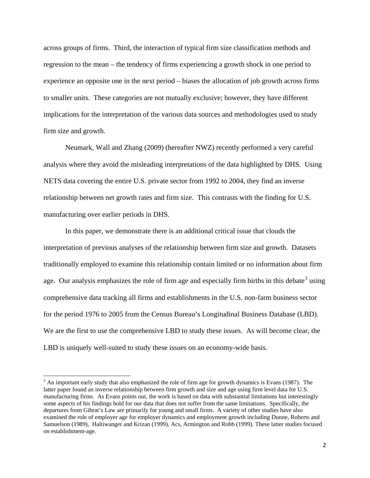across groups of firms. Third, the interaction of typical firm size classification methods and regression to the mean – the tendency of firms experiencing a growth shock in one period to experience an opposite one in the next period – biases the allocation of job growth across firms to smaller units. These categories are not mutually exclusive; however, they have different implications for the interpretation of the various data sources and methodologies used to study firm size and growth.

Neumark, Wall and Zhang (2009) (hereafter NWZ) recently performed a very careful analysis where they avoid the misleading interpretations of the data highlighted by DHS. Using NETS data covering the entire U.S. private sector from 1992 to 2004, they find an inverse relationship between net growth rates and firm size. This contrasts with the finding for U.S. manufacturing over earlier periods in DHS.

In this paper, we demonstrate there is an additional critical issue that clouds the interpretation of previous analyses of the relationship between firm size and growth. Datasets traditionally employed to examine this relationship contain limited or no information about firm age. Our analysis emphasizes the role of firm age and especially firm births in this debate<sup>[3](#page-2-0)</sup> using comprehensive data tracking all firms and establishments in the U.S. non-farm business sector for the period 1976 to 2005 from the Census Bureau's Longitudinal Business Database (LBD). We are the first to use the comprehensive LBD to study these issues. As will become clear, the LBD is uniquely well-suited to study these issues on an economy-wide basis.

<span id="page-2-0"></span> $3$  An important early study that also emphasized the role of firm age for growth dynamics is Evans (1987). The latter paper found an inverse relationship between firm growth and size and age using firm level data for U.S. manufacturing firms. As Evans points out, the work is based on data with substantial limitations but interestingly some aspects of his findings hold for our data that does not suffer from the same limitations. Specifically, the departures from Gibrat's Law are primarily for young and small firms. A variety of other studies have also examined the role of employer age for employer dynamics and employment growth including Dunne, Roberts and Samuelson (1989), Haltiwanger and Krizan (1999), Acs, Armington and Robb (1999). These latter studies focused on establishment-age.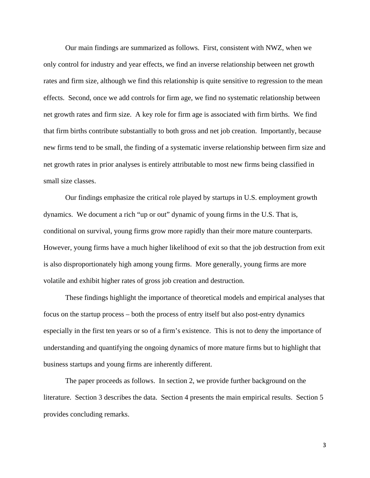Our main findings are summarized as follows. First, consistent with NWZ, when we only control for industry and year effects, we find an inverse relationship between net growth rates and firm size, although we find this relationship is quite sensitive to regression to the mean effects. Second, once we add controls for firm age, we find no systematic relationship between net growth rates and firm size. A key role for firm age is associated with firm births. We find that firm births contribute substantially to both gross and net job creation. Importantly, because new firms tend to be small, the finding of a systematic inverse relationship between firm size and net growth rates in prior analyses is entirely attributable to most new firms being classified in small size classes.

Our findings emphasize the critical role played by startups in U.S. employment growth dynamics. We document a rich "up or out" dynamic of young firms in the U.S. That is, conditional on survival, young firms grow more rapidly than their more mature counterparts. However, young firms have a much higher likelihood of exit so that the job destruction from exit is also disproportionately high among young firms. More generally, young firms are more volatile and exhibit higher rates of gross job creation and destruction.

These findings highlight the importance of theoretical models and empirical analyses that focus on the startup process – both the process of entry itself but also post-entry dynamics especially in the first ten years or so of a firm's existence. This is not to deny the importance of understanding and quantifying the ongoing dynamics of more mature firms but to highlight that business startups and young firms are inherently different.

The paper proceeds as follows. In section 2, we provide further background on the literature. Section 3 describes the data. Section 4 presents the main empirical results. Section 5 provides concluding remarks.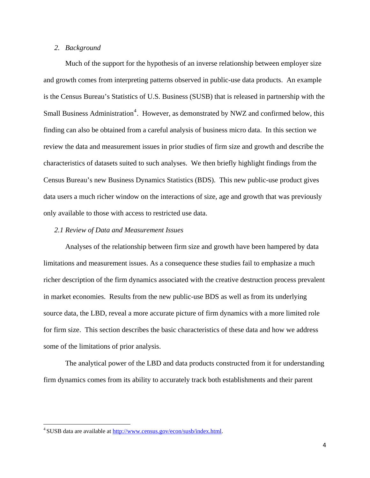## *2. Background*

Much of the support for the hypothesis of an inverse relationship between employer size and growth comes from interpreting patterns observed in public-use data products. An example is the Census Bureau's Statistics of U.S. Business (SUSB) that is released in partnership with the Small Business Administration<sup>[4](#page-4-0)</sup>. However, as demonstrated by NWZ and confirmed below, this finding can also be obtained from a careful analysis of business micro data. In this section we review the data and measurement issues in prior studies of firm size and growth and describe the characteristics of datasets suited to such analyses. We then briefly highlight findings from the Census Bureau's new Business Dynamics Statistics (BDS). This new public-use product gives data users a much richer window on the interactions of size, age and growth that was previously only available to those with access to restricted use data.

#### *2.1 Review of Data and Measurement Issues*

Analyses of the relationship between firm size and growth have been hampered by data limitations and measurement issues. As a consequence these studies fail to emphasize a much richer description of the firm dynamics associated with the creative destruction process prevalent in market economies. Results from the new public-use BDS as well as from its underlying source data, the LBD, reveal a more accurate picture of firm dynamics with a more limited role for firm size. This section describes the basic characteristics of these data and how we address some of the limitations of prior analysis.

The analytical power of the LBD and data products constructed from it for understanding firm dynamics comes from its ability to accurately track both establishments and their parent

<span id="page-4-0"></span><sup>4</sup> SUSB data are available at [http://www.census.gov/econ/susb/index.html.](http://www.census.gov/econ/susb/index.html)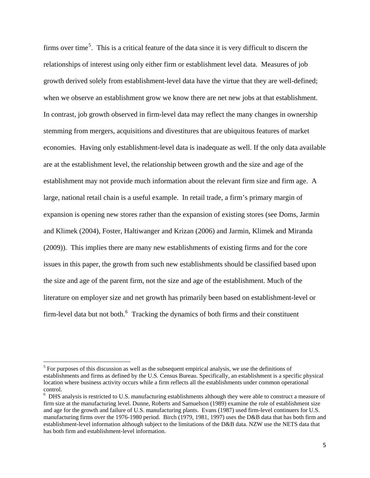firms over time<sup>[5](#page-5-0)</sup>. This is a critical feature of the data since it is very difficult to discern the relationships of interest using only either firm or establishment level data. Measures of job growth derived solely from establishment-level data have the virtue that they are well-defined; when we observe an establishment grow we know there are net new jobs at that establishment. In contrast, job growth observed in firm-level data may reflect the many changes in ownership stemming from mergers, acquisitions and divestitures that are ubiquitous features of market economies. Having only establishment-level data is inadequate as well. If the only data available are at the establishment level, the relationship between growth and the size and age of the establishment may not provide much information about the relevant firm size and firm age. A large, national retail chain is a useful example. In retail trade, a firm's primary margin of expansion is opening new stores rather than the expansion of existing stores (see Doms, Jarmin and Klimek (2004), Foster, Haltiwanger and Krizan (2006) and Jarmin, Klimek and Miranda (2009)). This implies there are many new establishments of existing firms and for the core issues in this paper, the growth from such new establishments should be classified based upon the size and age of the parent firm, not the size and age of the establishment. Much of the literature on employer size and net growth has primarily been based on establishment-level or firm-level data but not both. $<sup>6</sup>$  $<sup>6</sup>$  $<sup>6</sup>$  Tracking the dynamics of both firms and their constituent</sup>

 $<sup>5</sup>$  For purposes of this discussion as well as the subsequent empirical analysis, we use the definitions of</sup> establishments and firms as defined by the U.S. Census Bureau. Specifically, an establishment is a specific physical location where business activity occurs while a firm reflects all the establishments under common operational control.

<span id="page-5-1"></span><span id="page-5-0"></span>DHS analysis is restricted to U.S. manufacturing establishments although they were able to construct a measure of firm size at the manufacturing level. Dunne, Roberts and Samuelson (1989) examine the role of establishment size and age for the growth and failure of U.S. manufacturing plants. Evans (1987) used firm-level continuers for U.S. manufacturing firms over the 1976-1980 period. Birch (1979, 1981, 1997) uses the D&B data that has both firm and establishment-level information although subject to the limitations of the D&B data. NZW use the NETS data that has both firm and establishment-level information.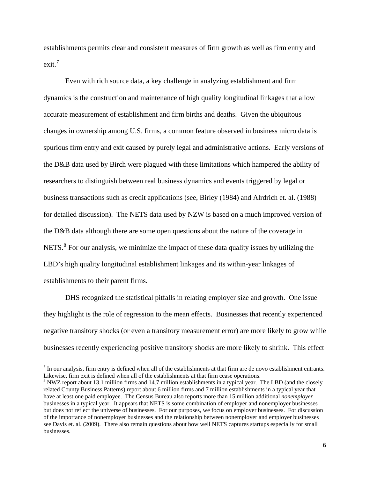establishments permits clear and consistent measures of firm growth as well as firm entry and  $exit.<sup>7</sup>$  $exit.<sup>7</sup>$  $exit.<sup>7</sup>$ 

Even with rich source data, a key challenge in analyzing establishment and firm dynamics is the construction and maintenance of high quality longitudinal linkages that allow accurate measurement of establishment and firm births and deaths. Given the ubiquitous changes in ownership among U.S. firms, a common feature observed in business micro data is spurious firm entry and exit caused by purely legal and administrative actions. Early versions of the D&B data used by Birch were plagued with these limitations which hampered the ability of researchers to distinguish between real business dynamics and events triggered by legal or business transactions such as credit applications (see, Birley (1984) and Alrdrich et. al. (1988) for detailed discussion). The NETS data used by NZW is based on a much improved version of the D&B data although there are some open questions about the nature of the coverage in NETS. ${}^{8}$  ${}^{8}$  ${}^{8}$  For our analysis, we minimize the impact of these data quality issues by utilizing the LBD's high quality longitudinal establishment linkages and its within-year linkages of establishments to their parent firms.

DHS recognized the statistical pitfalls in relating employer size and growth. One issue they highlight is the role of regression to the mean effects. Businesses that recently experienced negative transitory shocks (or even a transitory measurement error) are more likely to grow while businesses recently experiencing positive transitory shocks are more likely to shrink. This effect

 $<sup>7</sup>$  In our analysis, firm entry is defined when all of the establishments at that firm are de novo establishment entrants.</sup> Likewise, firm exit is defined when all of the establishments at that firm cease operations.

<span id="page-6-1"></span><span id="page-6-0"></span> $8$  NWZ report about 13.1 million firms and 14.7 million establishments in a typical year. The LBD (and the closely related County Business Patterns) report about 6 million firms and 7 million establishments in a typical year that have at least one paid employee. The Census Bureau also reports more than 15 million additional *nonemployer* businesses in a typical year. It appears that NETS is some combination of employer and nonemployer businesses but does not reflect the universe of businesses. For our purposes, we focus on employer businesses. For discussion of the importance of nonemployer businesses and the relationship between nonemployer and employer businesses see Davis et. al. (2009). There also remain questions about how well NETS captures startups especially for small businesses.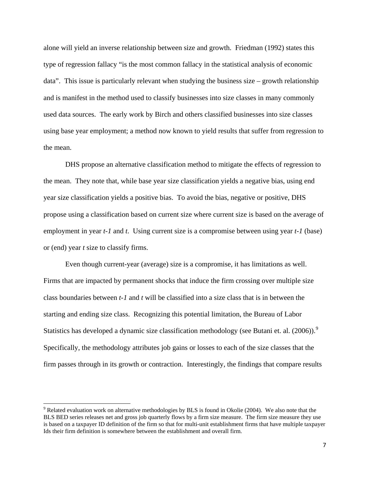alone will yield an inverse relationship between size and growth. Friedman (1992) states this type of regression fallacy "is the most common fallacy in the statistical analysis of economic data". This issue is particularly relevant when studying the business size – growth relationship and is manifest in the method used to classify businesses into size classes in many commonly used data sources. The early work by Birch and others classified businesses into size classes using base year employment; a method now known to yield results that suffer from regression to the mean.

DHS propose an alternative classification method to mitigate the effects of regression to the mean. They note that, while base year size classification yields a negative bias, using end year size classification yields a positive bias. To avoid the bias, negative or positive, DHS propose using a classification based on current size where current size is based on the average of employment in year *t-1* and *t*. Using current size is a compromise between using year *t-1* (base) or (end) year *t* size to classify firms.

Even though current-year (average) size is a compromise, it has limitations as well. Firms that are impacted by permanent shocks that induce the firm crossing over multiple size class boundaries between *t-1* and *t* will be classified into a size class that is in between the starting and ending size class. Recognizing this potential limitation, the Bureau of Labor Statistics has developed a dynamic size classification methodology (see Butani et. al. (2006)).<sup>[9](#page-7-0)</sup> Specifically, the methodology attributes job gains or losses to each of the size classes that the firm passes through in its growth or contraction. Interestingly, the findings that compare results

<span id="page-7-0"></span><sup>&</sup>lt;sup>9</sup> Related evaluation work on alternative methodologies by BLS is found in Okolie (2004). We also note that the BLS BED series releases net and gross job quarterly flows by a firm size measure. The firm size measure they use is based on a taxpayer ID definition of the firm so that for multi-unit establishment firms that have multiple taxpayer Ids their firm definition is somewhere between the establishment and overall firm.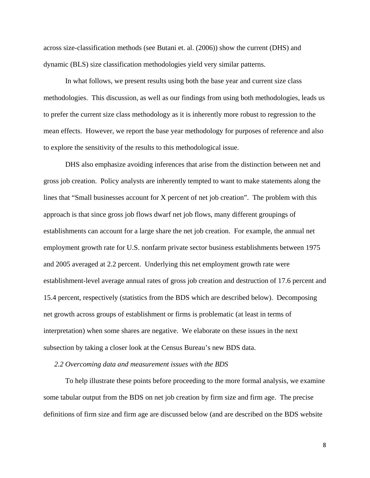across size-classification methods (see Butani et. al. (2006)) show the current (DHS) and dynamic (BLS) size classification methodologies yield very similar patterns.

In what follows, we present results using both the base year and current size class methodologies. This discussion, as well as our findings from using both methodologies, leads us to prefer the current size class methodology as it is inherently more robust to regression to the mean effects. However, we report the base year methodology for purposes of reference and also to explore the sensitivity of the results to this methodological issue.

DHS also emphasize avoiding inferences that arise from the distinction between net and gross job creation. Policy analysts are inherently tempted to want to make statements along the lines that "Small businesses account for X percent of net job creation". The problem with this approach is that since gross job flows dwarf net job flows, many different groupings of establishments can account for a large share the net job creation. For example, the annual net employment growth rate for U.S. nonfarm private sector business establishments between 1975 and 2005 averaged at 2.2 percent. Underlying this net employment growth rate were establishment-level average annual rates of gross job creation and destruction of 17.6 percent and 15.4 percent, respectively (statistics from the BDS which are described below). Decomposing net growth across groups of establishment or firms is problematic (at least in terms of interpretation) when some shares are negative. We elaborate on these issues in the next subsection by taking a closer look at the Census Bureau's new BDS data.

#### *2.2 Overcoming data and measurement issues with the BDS*

To help illustrate these points before proceeding to the more formal analysis, we examine some tabular output from the BDS on net job creation by firm size and firm age. The precise definitions of firm size and firm age are discussed below (and are described on the BDS website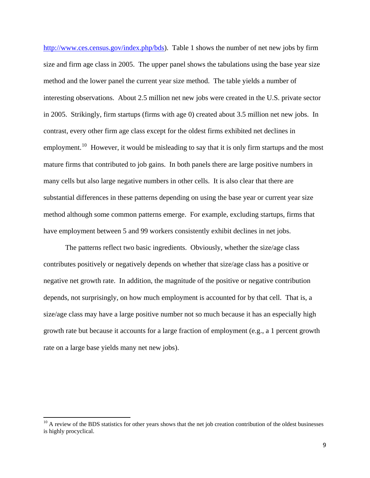<span id="page-9-0"></span>[http://www.ces.census.gov/index.php/bds\)](http://www.ces.census.gov/index.php/bds). Table 1 shows the number of net new jobs by firm size and firm age class in 2005. The upper panel shows the tabulations using the base year size method and the lower panel the current year size method. The table yields a number of interesting observations. About 2.5 million net new jobs were created in the U.S. private sector in 2005. Strikingly, firm startups (firms with age 0) created about 3.5 million net new jobs. In contrast, every other firm age class except for the oldest firms exhibited net declines in employment.<sup>[10](#page-9-0)</sup> However, it would be misleading to say that it is only firm startups and the most mature firms that contributed to job gains. In both panels there are large positive numbers in many cells but also large negative numbers in other cells. It is also clear that there are substantial differences in these patterns depending on using the base year or current year size method although some common patterns emerge. For example, excluding startups, firms that have employment between 5 and 99 workers consistently exhibit declines in net jobs.

The patterns reflect two basic ingredients. Obviously, whether the size/age class contributes positively or negatively depends on whether that size/age class has a positive or negative net growth rate. In addition, the magnitude of the positive or negative contribution depends, not surprisingly, on how much employment is accounted for by that cell. That is, a size/age class may have a large positive number not so much because it has an especially high growth rate but because it accounts for a large fraction of employment (e.g., a 1 percent growth rate on a large base yields many net new jobs).

 $10$  A review of the BDS statistics for other years shows that the net job creation contribution of the oldest businesses is highly procyclical.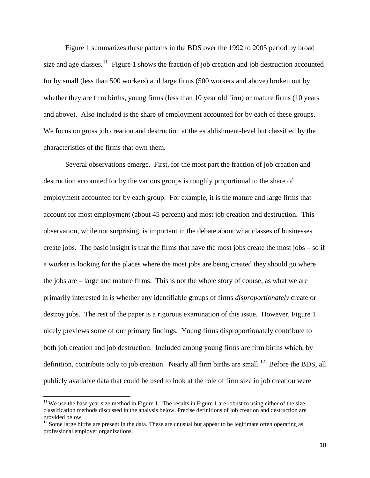<span id="page-10-0"></span>Figure 1 summarizes these patterns in the BDS over the 1992 to 2005 period by broad size and age classes.<sup>[11](#page-10-0)</sup> Figure 1 shows the fraction of job creation and job destruction accounted for by small (less than 500 workers) and large firms (500 workers and above) broken out by whether they are firm births, young firms (less than 10 year old firm) or mature firms (10 years and above). Also included is the share of employment accounted for by each of these groups. We focus on gross job creation and destruction at the establishment-level but classified by the characteristics of the firms that own them.

Several observations emerge. First, for the most part the fraction of job creation and destruction accounted for by the various groups is roughly proportional to the share of employment accounted for by each group. For example, it is the mature and large firms that account for most employment (about 45 percent) and most job creation and destruction. This observation, while not surprising, is important in the debate about what classes of businesses create jobs. The basic insight is that the firms that have the most jobs create the most jobs – so if a worker is looking for the places where the most jobs are being created they should go where the jobs are – large and mature firms. This is not the whole story of course, as what we are primarily interested in is whether any identifiable groups of firms *disproportionately* create or destroy jobs. The rest of the paper is a rigorous examination of this issue. However, Figure 1 nicely previews some of our primary findings. Young firms disproportionately contribute to both job creation and job destruction. Included among young firms are firm births which, by definition, contribute only to job creation. Nearly all firm births are small.<sup>[12](#page-10-0)</sup> Before the BDS, all publicly available data that could be used to look at the role of firm size in job creation were

<sup>&</sup>lt;sup>11</sup> We use the base year size method in Figure 1. The results in Figure 1 are robust to using either of the size classification methods discussed in the analysis below. Precise definitions of job creation and destruction are provided below.

<sup>&</sup>lt;sup>12</sup> Some large births are present in the data. These are unusual but appear to be legitimate often operating as professional employer organizations.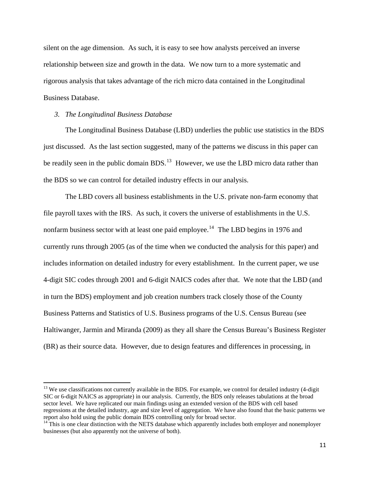<span id="page-11-0"></span>silent on the age dimension. As such, it is easy to see how analysts perceived an inverse relationship between size and growth in the data. We now turn to a more systematic and rigorous analysis that takes advantage of the rich micro data contained in the Longitudinal Business Database.

#### *3. The Longitudinal Business Database*

The Longitudinal Business Database (LBD) underlies the public use statistics in the BDS just discussed. As the last section suggested, many of the patterns we discuss in this paper can be readily seen in the public domain  $BDS<sup>13</sup>$  $BDS<sup>13</sup>$  $BDS<sup>13</sup>$ . However, we use the LBD micro data rather than the BDS so we can control for detailed industry effects in our analysis.

The LBD covers all business establishments in the U.S. private non-farm economy that file payroll taxes with the IRS. As such, it covers the universe of establishments in the U.S. nonfarm business sector with at least one paid employee.<sup>[14](#page-11-0)</sup> The LBD begins in 1976 and currently runs through 2005 (as of the time when we conducted the analysis for this paper) and includes information on detailed industry for every establishment. In the current paper, we use 4-digit SIC codes through 2001 and 6-digit NAICS codes after that. We note that the LBD (and in turn the BDS) employment and job creation numbers track closely those of the County Business Patterns and Statistics of U.S. Business programs of the U.S. Census Bureau (see Haltiwanger, Jarmin and Miranda (2009) as they all share the Census Bureau's Business Register (BR) as their source data. However, due to design features and differences in processing, in

<sup>&</sup>lt;sup>13</sup> We use classifications not currently available in the BDS. For example, we control for detailed industry (4-digit SIC or 6-digit NAICS as appropriate) in our analysis. Currently, the BDS only releases tabulations at the broad sector level. We have replicated our main findings using an extended version of the BDS with cell based regressions at the detailed industry, age and size level of aggregation. We have also found that the basic patterns we report also hold using the public domain BDS controlling only for broad sector.

 $14$ <sup>-This</sup> is one clear distinction with the NETS database which apparently includes both employer and nonemployer businesses (but also apparently not the universe of both).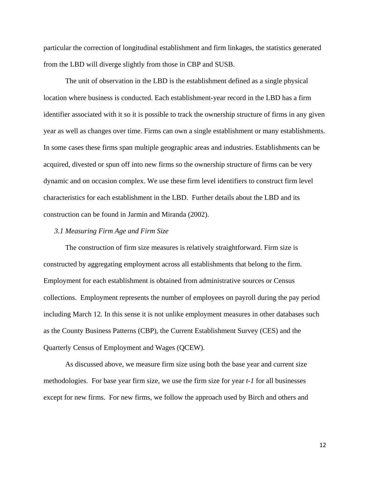particular the correction of longitudinal establishment and firm linkages, the statistics generated from the LBD will diverge slightly from those in CBP and SUSB.

The unit of observation in the LBD is the establishment defined as a single physical location where business is conducted. Each establishment-year record in the LBD has a firm identifier associated with it so it is possible to track the ownership structure of firms in any given year as well as changes over time. Firms can own a single establishment or many establishments. In some cases these firms span multiple geographic areas and industries. Establishments can be acquired, divested or spun off into new firms so the ownership structure of firms can be very dynamic and on occasion complex. We use these firm level identifiers to construct firm level characteristics for each establishment in the LBD. Further details about the LBD and its construction can be found in Jarmin and Miranda (2002).

## *3.1 Measuring Firm Age and Firm Size*

The construction of firm size measures is relatively straightforward. Firm size is constructed by aggregating employment across all establishments that belong to the firm. Employment for each establishment is obtained from administrative sources or Census collections. Employment represents the number of employees on payroll during the pay period including March 12. In this sense it is not unlike employment measures in other databases such as the County Business Patterns (CBP), the Current Establishment Survey (CES) and the Quarterly Census of Employment and Wages (QCEW).

As discussed above, we measure firm size using both the base year and current size methodologies. For base year firm size, we use the firm size for year *t-1* for all businesses except for new firms. For new firms, we follow the approach used by Birch and others and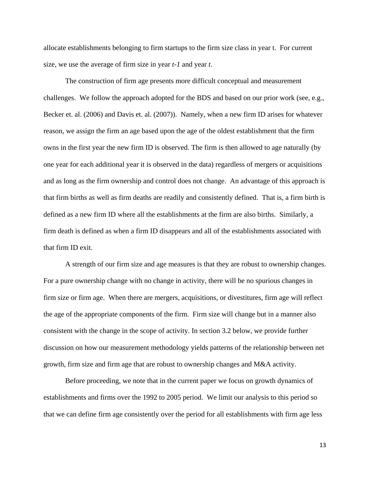allocate establishments belonging to firm startups to the firm size class in year t. For current size, we use the average of firm size in year *t-1* and year *t*.

The construction of firm age presents more difficult conceptual and measurement challenges. We follow the approach adopted for the BDS and based on our prior work (see, e.g., Becker et. al. (2006) and Davis et. al. (2007)). Namely, when a new firm ID arises for whatever reason, we assign the firm an age based upon the age of the oldest establishment that the firm owns in the first year the new firm ID is observed. The firm is then allowed to age naturally (by one year for each additional year it is observed in the data) regardless of mergers or acquisitions and as long as the firm ownership and control does not change. An advantage of this approach is that firm births as well as firm deaths are readily and consistently defined. That is, a firm birth is defined as a new firm ID where all the establishments at the firm are also births. Similarly, a firm death is defined as when a firm ID disappears and all of the establishments associated with that firm ID exit.

A strength of our firm size and age measures is that they are robust to ownership changes. For a pure ownership change with no change in activity, there will be no spurious changes in firm size or firm age. When there are mergers, acquisitions, or divestitures, firm age will reflect the age of the appropriate components of the firm. Firm size will change but in a manner also consistent with the change in the scope of activity. In section 3.2 below, we provide further discussion on how our measurement methodology yields patterns of the relationship between net growth, firm size and firm age that are robust to ownership changes and M&A activity.

Before proceeding, we note that in the current paper we focus on growth dynamics of establishments and firms over the 1992 to 2005 period. We limit our analysis to this period so that we can define firm age consistently over the period for all establishments with firm age less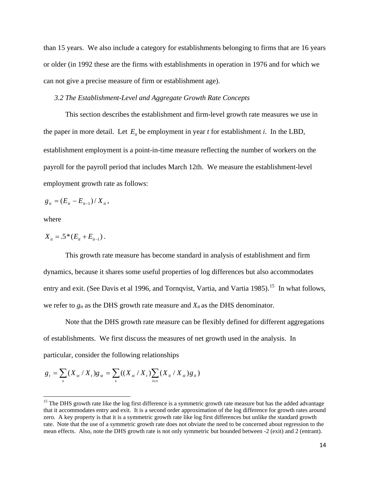<span id="page-14-0"></span>than 15 years. We also include a category for establishments belonging to firms that are 16 years or older (in 1992 these are the firms with establishments in operation in 1976 and for which we can not give a precise measure of firm or establishment age).

#### *3.2 The Establishment-Level and Aggregate Growth Rate Concepts*

This section describes the establishment and firm-level growth rate measures we use in the paper in more detail. Let  $E_{it}$  be employment in year *t* for establishment *i*. In the LBD, establishment employment is a point-in-time measure reflecting the number of workers on the payroll for the payroll period that includes March 12th. We measure the establishment-level employment growth rate as follows:

$$
g_{it} = (E_{it} - E_{it-1}) / X_{it},
$$

where

$$
X_{it} = .5*(E_{it} + E_{it-1}).
$$

This growth rate measure has become standard in analysis of establishment and firm dynamics, because it shares some useful properties of log differences but also accommodates entry and exit. (See Davis et al 1996, and Tornqvist, Vartia, and Vartia 1985).<sup>[15](#page-14-0)</sup> In what follows, we refer to  $g_{it}$  as the DHS growth rate measure and  $X_{it}$  as the DHS denominator.

Note that the DHS growth rate measure can be flexibly defined for different aggregations of establishments. We first discuss the measures of net growth used in the analysis. In particular, consider the following relationships

$$
g_{t} = \sum_{s} (X_{st} / X_{t}) g_{st} = \sum_{s} ((X_{st} / X_{t}) \sum_{i \in s} (X_{it} / X_{st}) g_{it})
$$

<sup>&</sup>lt;sup>15</sup> The DHS growth rate like the log first difference is a symmetric growth rate measure but has the added advantage that it accommodates entry and exit. It is a second order approximation of the log difference for growth rates around zero. A key property is that it is a symmetric growth rate like log first differences but unlike the standard growth rate. Note that the use of a symmetric growth rate does not obviate the need to be concerned about regression to the mean effects. Also, note the DHS growth rate is not only symmetric but bounded between -2 (exit) and 2 (entrant).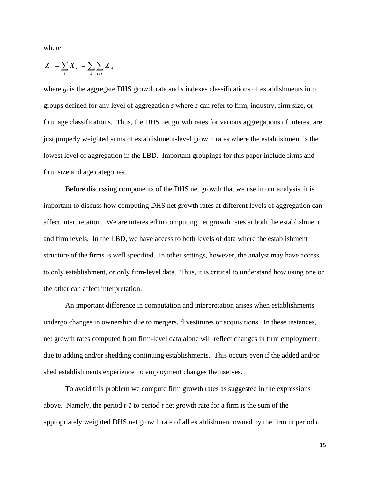where

$$
\boldsymbol{X}_t = \sum_s \boldsymbol{X}_{st} = \sum_s \sum_{i \in s} \boldsymbol{X}_{it}
$$

where  $g_t$  is the aggregate DHS growth rate and  $s$  indexes classifications of establishments into groups defined for any level of aggregation *s* where *s* can refer to firm, industry, firm size, or firm age classifications. Thus, the DHS net growth rates for various aggregations of interest are just properly weighted sums of establishment-level growth rates where the establishment is the lowest level of aggregation in the LBD. Important groupings for this paper include firms and firm size and age categories.

 Before discussing components of the DHS net growth that we use in our analysis, it is important to discuss how computing DHS net growth rates at different levels of aggregation can affect interpretation. We are interested in computing net growth rates at both the establishment and firm levels. In the LBD, we have access to both levels of data where the establishment structure of the firms is well specified. In other settings, however, the analyst may have access to only establishment, or only firm-level data. Thus, it is critical to understand how using one or the other can affect interpretation.

 An important difference in computation and interpretation arises when establishments undergo changes in ownership due to mergers, divestitures or acquisitions. In these instances, net growth rates computed from firm-level data alone will reflect changes in firm employment due to adding and/or shedding continuing establishments. This occurs even if the added and/or shed establishments experience no employment changes themselves.

 To avoid this problem we compute firm growth rates as suggested in the expressions above. Namely, the period *t-1* to period *t* net growth rate for a firm is the sum of the appropriately weighted DHS net growth rate of all establishment owned by the firm in period *t*,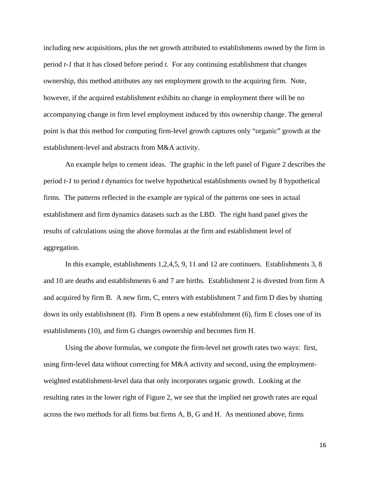including new acquisitions, plus the net growth attributed to establishments owned by the firm in period *t-1* that it has closed before period *t*. For any continuing establishment that changes ownership, this method attributes any net employment growth to the acquiring firm. Note, however, if the acquired establishment exhibits no change in employment there will be no accompanying change in firm level employment induced by this ownership change. The general point is that this method for computing firm-level growth captures only "organic" growth at the establishment-level and abstracts from M&A activity.

 An example helps to cement ideas. The graphic in the left panel of Figure 2 describes the period *t-1* to period *t* dynamics for twelve hypothetical establishments owned by 8 hypothetical firms. The patterns reflected in the example are typical of the patterns one sees in actual establishment and firm dynamics datasets such as the LBD. The right hand panel gives the results of calculations using the above formulas at the firm and establishment level of aggregation.

 In this example, establishments 1,2,4,5, 9, 11 and 12 are continuers. Establishments 3, 8 and 10 are deaths and establishments 6 and 7 are births. Establishment 2 is divested from firm A and acquired by firm B. A new firm, C, enters with establishment 7 and firm D dies by shutting down its only establishment (8). Firm B opens a new establishment (6), firm E closes one of its establishments (10), and firm G changes ownership and becomes firm H.

 Using the above formulas, we compute the firm-level net growth rates two ways: first, using firm-level data without correcting for M&A activity and second, using the employmentweighted establishment-level data that only incorporates organic growth. Looking at the resulting rates in the lower right of Figure 2, we see that the implied net growth rates are equal across the two methods for all firms but firms A, B, G and H. As mentioned above, firms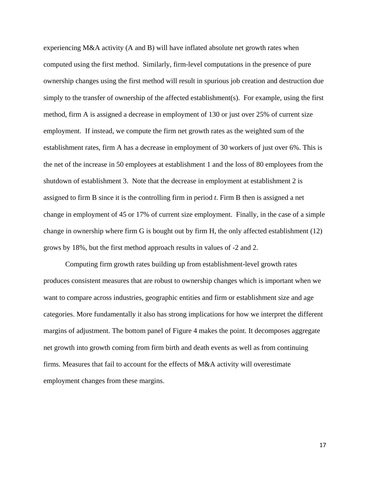experiencing M&A activity (A and B) will have inflated absolute net growth rates when computed using the first method. Similarly, firm-level computations in the presence of pure ownership changes using the first method will result in spurious job creation and destruction due simply to the transfer of ownership of the affected establishment(s). For example, using the first method, firm A is assigned a decrease in employment of 130 or just over 25% of current size employment. If instead, we compute the firm net growth rates as the weighted sum of the establishment rates, firm A has a decrease in employment of 30 workers of just over 6%. This is the net of the increase in 50 employees at establishment 1 and the loss of 80 employees from the shutdown of establishment 3. Note that the decrease in employment at establishment 2 is assigned to firm B since it is the controlling firm in period *t*. Firm B then is assigned a net change in employment of 45 or 17% of current size employment. Finally, in the case of a simple change in ownership where firm G is bought out by firm H, the only affected establishment (12) grows by 18%, but the first method approach results in values of -2 and 2.

 Computing firm growth rates building up from establishment-level growth rates produces consistent measures that are robust to ownership changes which is important when we want to compare across industries, geographic entities and firm or establishment size and age categories. More fundamentally it also has strong implications for how we interpret the different margins of adjustment. The bottom panel of Figure 4 makes the point. It decomposes aggregate net growth into growth coming from firm birth and death events as well as from continuing firms. Measures that fail to account for the effects of M&A activity will overestimate employment changes from these margins.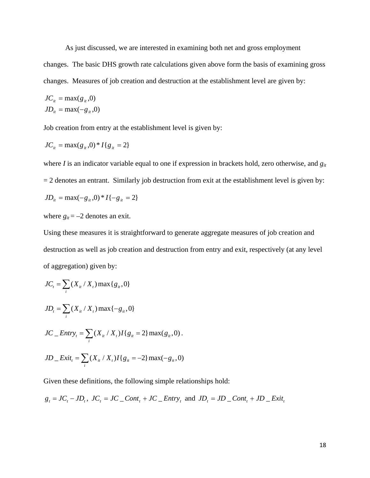As just discussed, we are interested in examining both net and gross employment

changes. The basic DHS growth rate calculations given above form the basis of examining gross changes. Measures of job creation and destruction at the establishment level are given by:

$$
JC_{it} = \max(g_{it}, 0)
$$
  

$$
JD_{it} = \max(-g_{it}, 0)
$$

Job creation from entry at the establishment level is given by:

$$
JC_{it} = \max(g_{it}, 0) * I\{g_{it} = 2\}
$$

where *I* is an indicator variable equal to one if expression in brackets hold, zero otherwise, and  $g_{it}$  $= 2$  denotes an entrant. Similarly job destruction from exit at the establishment level is given by:  $JD_{ii} = \max(-g_{ii}, 0) * I\{-g_{ii} = 2\}$ 

where  $g_{it} = -2$  denotes an exit.

Using these measures it is straightforward to generate aggregate measures of job creation and destruction as well as job creation and destruction from entry and exit, respectively (at any level of aggregation) given by:

$$
JC_{t} = \sum_{i} (X_{it} / X_{t}) \max\{g_{it}, 0\}
$$
  
\n
$$
JD_{t} = \sum_{i} (X_{it} / X_{t}) \max\{-g_{it}, 0\}
$$
  
\n
$$
JC_{t} = \sum_{i} (X_{it} / X_{t}) I\{g_{it} = 2\} \max(g_{it}, 0).
$$
  
\n
$$
JD_{t} = \sum_{i} (X_{it} / X_{t}) I\{g_{it} = -2\} \max(-g_{it}, 0).
$$

Given these definitions, the following simple relationships hold:

$$
g_t = JC_t - JD_t
$$
,  $JC_t = JC\_\text{Cont}_t + JC\_\text{Entry}_t$  and  $JD_t = JD\_\text{Cont}_t + JD\_\text{Exit}_t$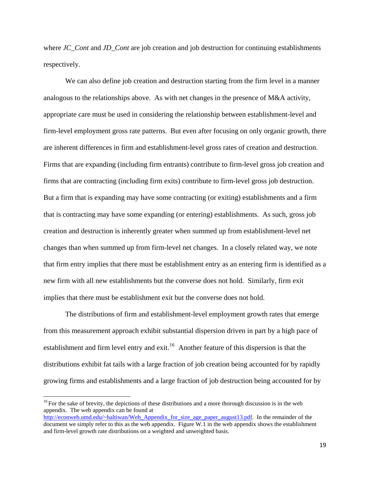<span id="page-19-0"></span>where *JC\_Cont* and *JD\_Cont* are job creation and job destruction for continuing establishments respectively.

We can also define job creation and destruction starting from the firm level in a manner analogous to the relationships above. As with net changes in the presence of M&A activity, appropriate care must be used in considering the relationship between establishment-level and firm-level employment gross rate patterns. But even after focusing on only organic growth, there are inherent differences in firm and establishment-level gross rates of creation and destruction. Firms that are expanding (including firm entrants) contribute to firm-level gross job creation and firms that are contracting (including firm exits) contribute to firm-level gross job destruction. But a firm that is expanding may have some contracting (or exiting) establishments and a firm that is contracting may have some expanding (or entering) establishments. As such, gross job creation and destruction is inherently greater when summed up from establishment-level net changes than when summed up from firm-level net changes. In a closely related way, we note that firm entry implies that there must be establishment entry as an entering firm is identified as a new firm with all new establishments but the converse does not hold. Similarly, firm exit implies that there must be establishment exit but the converse does not hold.

The distributions of firm and establishment-level employment growth rates that emerge from this measurement approach exhibit substantial dispersion driven in part by a high pace of establishment and firm level entry and exit.<sup>[16](#page-19-0)</sup> Another feature of this dispersion is that the distributions exhibit fat tails with a large fraction of job creation being accounted for by rapidly growing firms and establishments and a large fraction of job destruction being accounted for by

<sup>&</sup>lt;sup>16</sup> For the sake of brevity, the depictions of these distributions and a more thorough discussion is in the web appendix. The web appendix can be found at

[http://econweb.umd.edu/~haltiwan/Web\\_Appendix\\_for\\_size\\_age\\_paper\\_august13.pdf.](http://econweb.umd.edu/%7Ehaltiwan/Web_Appendix_for_size_age_paper_august13.pdf) In the remainder of the document we simply refer to this as the web appendix. Figure W.1 in the web appendix shows the establishment and firm-level growth rate distributions on a weighted and unweighted basis.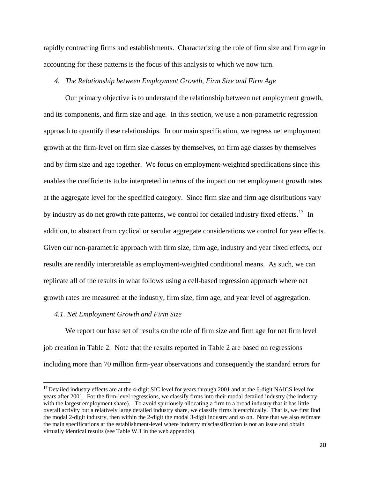<span id="page-20-0"></span>rapidly contracting firms and establishments. Characterizing the role of firm size and firm age in accounting for these patterns is the focus of this analysis to which we now turn.

# *4. The Relationship between Employment Growth, Firm Size and Firm Age*

Our primary objective is to understand the relationship between net employment growth, and its components, and firm size and age. In this section, we use a non-parametric regression approach to quantify these relationships. In our main specification, we regress net employment growth at the firm-level on firm size classes by themselves, on firm age classes by themselves and by firm size and age together. We focus on employment-weighted specifications since this enables the coefficients to be interpreted in terms of the impact on net employment growth rates at the aggregate level for the specified category. Since firm size and firm age distributions vary by industry as do net growth rate patterns, we control for detailed industry fixed effects.<sup>[17](#page-20-0)</sup> In addition, to abstract from cyclical or secular aggregate considerations we control for year effects. Given our non-parametric approach with firm size, firm age, industry and year fixed effects, our results are readily interpretable as employment-weighted conditional means. As such, we can replicate all of the results in what follows using a cell-based regression approach where net growth rates are measured at the industry, firm size, firm age, and year level of aggregation.

#### *4.1. Net Employment Growth and Firm Size*

We report our base set of results on the role of firm size and firm age for net firm level job creation in Table 2. Note that the results reported in Table 2 are based on regressions including more than 70 million firm-year observations and consequently the standard errors for

<sup>&</sup>lt;sup>17</sup> Detailed industry effects are at the 4-digit SIC level for years through 2001 and at the 6-digit NAICS level for years after 2001. For the firm-level regressions, we classify firms into their modal detailed industry (the industry with the largest employment share). To avoid spuriously allocating a firm to a broad industry that it has little overall activity but a relatively large detailed industry share, we classify firms hierarchically. That is, we first find the modal 2-digit industry, then within the 2-digit the modal 3-digit industry and so on. Note that we also estimate the main specifications at the establishment-level where industry misclassification is not an issue and obtain virtually identical results (see Table W.1 in the web appendix).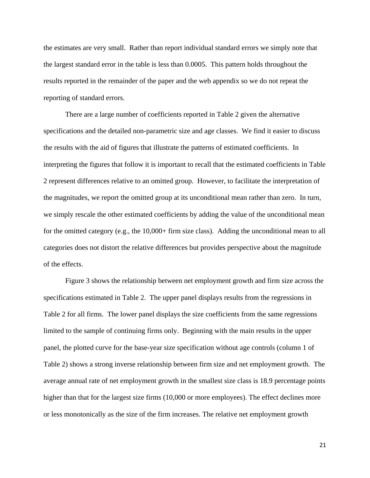the estimates are very small. Rather than report individual standard errors we simply note that the largest standard error in the table is less than 0.0005. This pattern holds throughout the results reported in the remainder of the paper and the web appendix so we do not repeat the reporting of standard errors.

There are a large number of coefficients reported in Table 2 given the alternative specifications and the detailed non-parametric size and age classes. We find it easier to discuss the results with the aid of figures that illustrate the patterns of estimated coefficients. In interpreting the figures that follow it is important to recall that the estimated coefficients in Table 2 represent differences relative to an omitted group. However, to facilitate the interpretation of the magnitudes, we report the omitted group at its unconditional mean rather than zero. In turn, we simply rescale the other estimated coefficients by adding the value of the unconditional mean for the omitted category (e.g., the  $10,000+$  firm size class). Adding the unconditional mean to all categories does not distort the relative differences but provides perspective about the magnitude of the effects.

Figure 3 shows the relationship between net employment growth and firm size across the specifications estimated in Table 2. The upper panel displays results from the regressions in Table 2 for all firms. The lower panel displays the size coefficients from the same regressions limited to the sample of continuing firms only. Beginning with the main results in the upper panel, the plotted curve for the base-year size specification without age controls (column 1 of Table 2) shows a strong inverse relationship between firm size and net employment growth. The average annual rate of net employment growth in the smallest size class is 18.9 percentage points higher than that for the largest size firms (10,000 or more employees). The effect declines more or less monotonically as the size of the firm increases. The relative net employment growth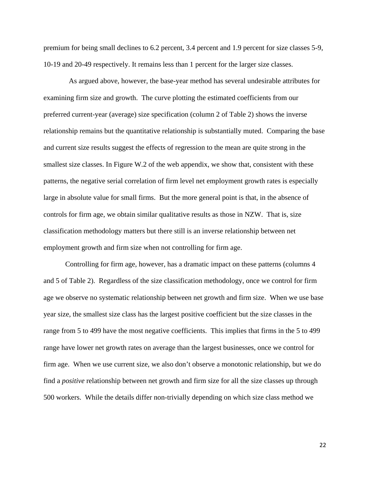premium for being small declines to 6.2 percent, 3.4 percent and 1.9 percent for size classes 5-9, 10-19 and 20-49 respectively. It remains less than 1 percent for the larger size classes.

 As argued above, however, the base-year method has several undesirable attributes for examining firm size and growth. The curve plotting the estimated coefficients from our preferred current-year (average) size specification (column 2 of Table 2) shows the inverse relationship remains but the quantitative relationship is substantially muted. Comparing the base and current size results suggest the effects of regression to the mean are quite strong in the smallest size classes. In Figure W.2 of the web appendix, we show that, consistent with these patterns, the negative serial correlation of firm level net employment growth rates is especially large in absolute value for small firms. But the more general point is that, in the absence of controls for firm age, we obtain similar qualitative results as those in NZW. That is, size classification methodology matters but there still is an inverse relationship between net employment growth and firm size when not controlling for firm age.

Controlling for firm age, however, has a dramatic impact on these patterns (columns 4 and 5 of Table 2). Regardless of the size classification methodology, once we control for firm age we observe no systematic relationship between net growth and firm size. When we use base year size, the smallest size class has the largest positive coefficient but the size classes in the range from 5 to 499 have the most negative coefficients. This implies that firms in the 5 to 499 range have lower net growth rates on average than the largest businesses, once we control for firm age. When we use current size, we also don't observe a monotonic relationship, but we do find a *positive* relationship between net growth and firm size for all the size classes up through 500 workers. While the details differ non-trivially depending on which size class method we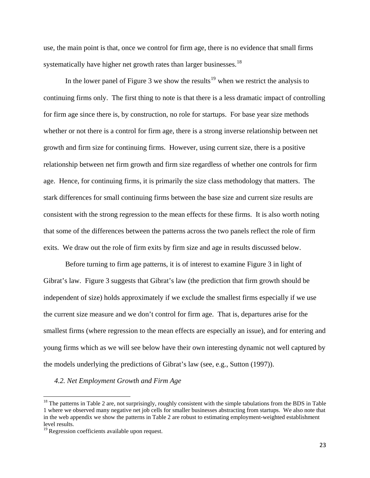<span id="page-23-0"></span>use, the main point is that, once we control for firm age, there is no evidence that small firms systematically have higher net growth rates than larger businesses.<sup>[18](#page-23-0)</sup>

In the lower panel of Figure 3 we show the results<sup>[19](#page-23-0)</sup> when we restrict the analysis to continuing firms only. The first thing to note is that there is a less dramatic impact of controlling for firm age since there is, by construction, no role for startups. For base year size methods whether or not there is a control for firm age, there is a strong inverse relationship between net growth and firm size for continuing firms. However, using current size, there is a positive relationship between net firm growth and firm size regardless of whether one controls for firm age. Hence, for continuing firms, it is primarily the size class methodology that matters. The stark differences for small continuing firms between the base size and current size results are consistent with the strong regression to the mean effects for these firms. It is also worth noting that some of the differences between the patterns across the two panels reflect the role of firm exits. We draw out the role of firm exits by firm size and age in results discussed below.

Before turning to firm age patterns, it is of interest to examine Figure 3 in light of Gibrat's law. Figure 3 suggests that Gibrat's law (the prediction that firm growth should be independent of size) holds approximately if we exclude the smallest firms especially if we use the current size measure and we don't control for firm age. That is, departures arise for the smallest firms (where regression to the mean effects are especially an issue), and for entering and young firms which as we will see below have their own interesting dynamic not well captured by the models underlying the predictions of Gibrat's law (see, e.g., Sutton (1997)).

#### *4.2. Net Employment Growth and Firm Age*

 $18$  The patterns in Table 2 are, not surprisingly, roughly consistent with the simple tabulations from the BDS in Table 1 where we observed many negative net job cells for smaller businesses abstracting from startups. We also note that in the web appendix we show the patterns in Table 2 are robust to estimating employment-weighted establishment level results.

<sup>&</sup>lt;sup>19</sup> Regression coefficients available upon request.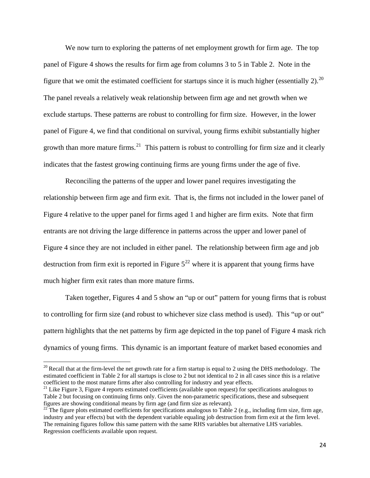<span id="page-24-0"></span>We now turn to exploring the patterns of net employment growth for firm age. The top panel of Figure 4 shows the results for firm age from columns 3 to 5 in Table 2. Note in the figure that we omit the estimated coefficient for startups since it is much higher (essentially 2).<sup>[20](#page-24-0)</sup> The panel reveals a relatively weak relationship between firm age and net growth when we exclude startups. These patterns are robust to controlling for firm size. However, in the lower panel of Figure 4, we find that conditional on survival, young firms exhibit substantially higher growth than more mature firms. $^{21}$  $^{21}$  $^{21}$  This pattern is robust to controlling for firm size and it clearly indicates that the fastest growing continuing firms are young firms under the age of five.

Reconciling the patterns of the upper and lower panel requires investigating the relationship between firm age and firm exit. That is, the firms not included in the lower panel of Figure 4 relative to the upper panel for firms aged 1 and higher are firm exits. Note that firm entrants are not driving the large difference in patterns across the upper and lower panel of Figure 4 since they are not included in either panel. The relationship between firm age and job destruction from firm exit is reported in Figure  $5^{22}$  $5^{22}$  $5^{22}$  where it is apparent that young firms have much higher firm exit rates than more mature firms.

Taken together, Figures 4 and 5 show an "up or out" pattern for young firms that is robust to controlling for firm size (and robust to whichever size class method is used). This "up or out" pattern highlights that the net patterns by firm age depicted in the top panel of Figure 4 mask rich dynamics of young firms. This dynamic is an important feature of market based economies and

 $20$  Recall that at the firm-level the net growth rate for a firm startup is equal to 2 using the DHS methodology. The estimated coefficient in Table 2 for all startups is close to 2 but not identical to 2 in all cases since this is a relative coefficient to the most mature firms after also controlling for industry and year effects. 21 Like Figure 3, Figure 4 reports estimated coefficients (available upon request) for specifications analogous to

Table 2 but focusing on continuing firms only. Given the non-parametric specifications, these and subsequent figures are showing conditional means by firm age (and firm size as relevant).

 $^{22}$  The figure plots estimated coefficients for specifications analogous to Table 2 (e.g., including firm size, firm age, industry and year effects) but with the dependent variable equaling job destruction from firm exit at the firm level. The remaining figures follow this same pattern with the same RHS variables but alternative LHS variables. Regression coefficients available upon request.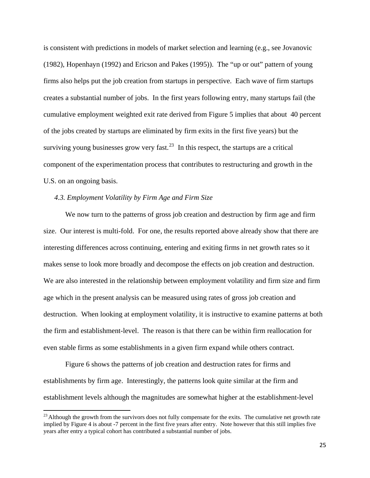<span id="page-25-0"></span>is consistent with predictions in models of market selection and learning (e.g., see Jovanovic (1982), Hopenhayn (1992) and Ericson and Pakes (1995)). The "up or out" pattern of young firms also helps put the job creation from startups in perspective. Each wave of firm startups creates a substantial number of jobs. In the first years following entry, many startups fail (the cumulative employment weighted exit rate derived from Figure 5 implies that about 40 percent of the jobs created by startups are eliminated by firm exits in the first five years) but the surviving young businesses grow very fast.<sup>[23](#page-25-0)</sup> In this respect, the startups are a critical component of the experimentation process that contributes to restructuring and growth in the U.S. on an ongoing basis.

#### *4.3. Employment Volatility by Firm Age and Firm Size*

We now turn to the patterns of gross job creation and destruction by firm age and firm size. Our interest is multi-fold. For one, the results reported above already show that there are interesting differences across continuing, entering and exiting firms in net growth rates so it makes sense to look more broadly and decompose the effects on job creation and destruction. We are also interested in the relationship between employment volatility and firm size and firm age which in the present analysis can be measured using rates of gross job creation and destruction. When looking at employment volatility, it is instructive to examine patterns at both the firm and establishment-level. The reason is that there can be within firm reallocation for even stable firms as some establishments in a given firm expand while others contract.

Figure 6 shows the patterns of job creation and destruction rates for firms and establishments by firm age. Interestingly, the patterns look quite similar at the firm and establishment levels although the magnitudes are somewhat higher at the establishment-level

 $^{23}$  Although the growth from the survivors does not fully compensate for the exits. The cumulative net growth rate implied by Figure 4 is about -7 percent in the first five years after entry. Note however that this still implies five years after entry a typical cohort has contributed a substantial number of jobs.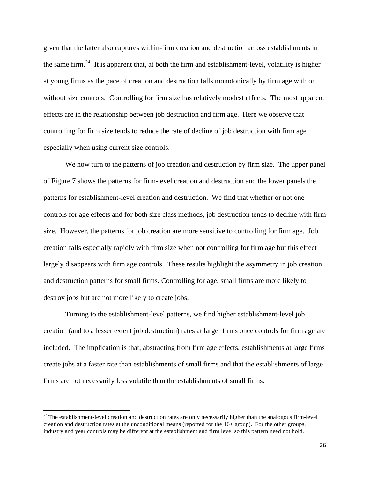<span id="page-26-0"></span>given that the latter also captures within-firm creation and destruction across establishments in the same firm.<sup>[24](#page-26-0)</sup> It is apparent that, at both the firm and establishment-level, volatility is higher at young firms as the pace of creation and destruction falls monotonically by firm age with or without size controls. Controlling for firm size has relatively modest effects. The most apparent effects are in the relationship between job destruction and firm age. Here we observe that controlling for firm size tends to reduce the rate of decline of job destruction with firm age especially when using current size controls.

We now turn to the patterns of job creation and destruction by firm size. The upper panel of Figure 7 shows the patterns for firm-level creation and destruction and the lower panels the patterns for establishment-level creation and destruction. We find that whether or not one controls for age effects and for both size class methods, job destruction tends to decline with firm size. However, the patterns for job creation are more sensitive to controlling for firm age. Job creation falls especially rapidly with firm size when not controlling for firm age but this effect largely disappears with firm age controls. These results highlight the asymmetry in job creation and destruction patterns for small firms. Controlling for age, small firms are more likely to destroy jobs but are not more likely to create jobs.

Turning to the establishment-level patterns, we find higher establishment-level job creation (and to a lesser extent job destruction) rates at larger firms once controls for firm age are included. The implication is that, abstracting from firm age effects, establishments at large firms create jobs at a faster rate than establishments of small firms and that the establishments of large firms are not necessarily less volatile than the establishments of small firms.

 $24$  The establishment-level creation and destruction rates are only necessarily higher than the analogous firm-level creation and destruction rates at the unconditional means (reported for the 16+ group). For the other groups, industry and year controls may be different at the establishment and firm level so this pattern need not hold.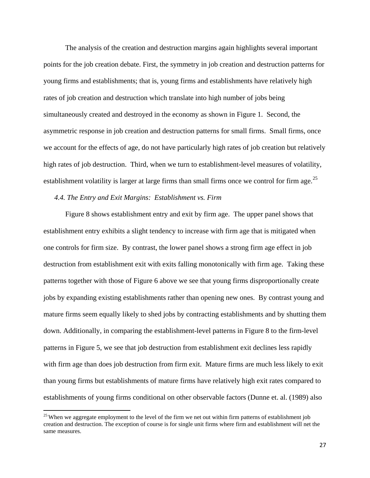<span id="page-27-0"></span>The analysis of the creation and destruction margins again highlights several important points for the job creation debate. First, the symmetry in job creation and destruction patterns for young firms and establishments; that is, young firms and establishments have relatively high rates of job creation and destruction which translate into high number of jobs being simultaneously created and destroyed in the economy as shown in Figure 1. Second, the asymmetric response in job creation and destruction patterns for small firms. Small firms, once we account for the effects of age, do not have particularly high rates of job creation but relatively high rates of job destruction. Third, when we turn to establishment-level measures of volatility, establishment volatility is larger at large firms than small firms once we control for firm age.<sup>[25](#page-27-0)</sup>

#### *4.4. The Entry and Exit Margins: Establishment vs. Firm*

Figure 8 shows establishment entry and exit by firm age. The upper panel shows that establishment entry exhibits a slight tendency to increase with firm age that is mitigated when one controls for firm size. By contrast, the lower panel shows a strong firm age effect in job destruction from establishment exit with exits falling monotonically with firm age. Taking these patterns together with those of Figure 6 above we see that young firms disproportionally create jobs by expanding existing establishments rather than opening new ones. By contrast young and mature firms seem equally likely to shed jobs by contracting establishments and by shutting them down. Additionally, in comparing the establishment-level patterns in Figure 8 to the firm-level patterns in Figure 5, we see that job destruction from establishment exit declines less rapidly with firm age than does job destruction from firm exit. Mature firms are much less likely to exit than young firms but establishments of mature firms have relatively high exit rates compared to establishments of young firms conditional on other observable factors (Dunne et. al. (1989) also

 $25$  When we aggregate employment to the level of the firm we net out within firm patterns of establishment job creation and destruction. The exception of course is for single unit firms where firm and establishment will net the same measures.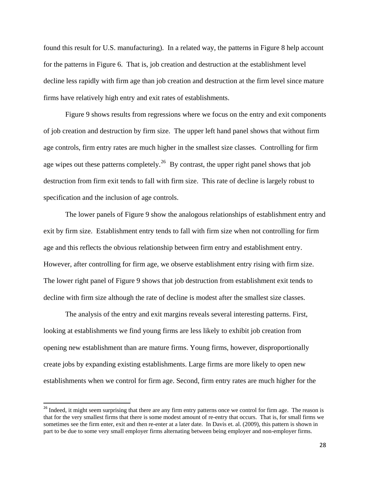<span id="page-28-0"></span>found this result for U.S. manufacturing). In a related way, the patterns in Figure 8 help account for the patterns in Figure 6. That is, job creation and destruction at the establishment level decline less rapidly with firm age than job creation and destruction at the firm level since mature firms have relatively high entry and exit rates of establishments.

Figure 9 shows results from regressions where we focus on the entry and exit components of job creation and destruction by firm size. The upper left hand panel shows that without firm age controls, firm entry rates are much higher in the smallest size classes. Controlling for firm age wipes out these patterns completely.<sup>[26](#page-28-0)</sup> By contrast, the upper right panel shows that job destruction from firm exit tends to fall with firm size. This rate of decline is largely robust to specification and the inclusion of age controls.

The lower panels of Figure 9 show the analogous relationships of establishment entry and exit by firm size. Establishment entry tends to fall with firm size when not controlling for firm age and this reflects the obvious relationship between firm entry and establishment entry. However, after controlling for firm age, we observe establishment entry rising with firm size. The lower right panel of Figure 9 shows that job destruction from establishment exit tends to decline with firm size although the rate of decline is modest after the smallest size classes.

The analysis of the entry and exit margins reveals several interesting patterns. First, looking at establishments we find young firms are less likely to exhibit job creation from opening new establishment than are mature firms. Young firms, however, disproportionally create jobs by expanding existing establishments. Large firms are more likely to open new establishments when we control for firm age. Second, firm entry rates are much higher for the

<sup>&</sup>lt;sup>26</sup> Indeed, it might seem surprising that there are any firm entry patterns once we control for firm age. The reason is that for the very smallest firms that there is some modest amount of re-entry that occurs. That is, for small firms we sometimes see the firm enter, exit and then re-enter at a later date. In Davis et. al. (2009), this pattern is shown in part to be due to some very small employer firms alternating between being employer and non-employer firms.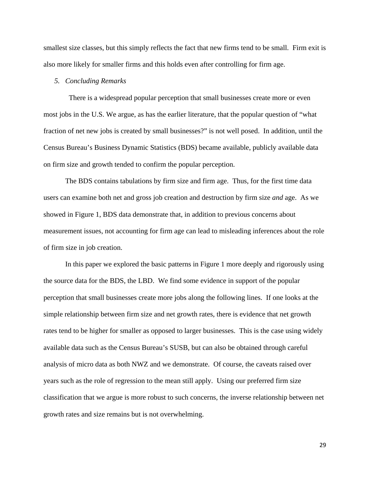smallest size classes, but this simply reflects the fact that new firms tend to be small. Firm exit is also more likely for smaller firms and this holds even after controlling for firm age.

#### *5. Concluding Remarks*

 There is a widespread popular perception that small businesses create more or even most jobs in the U.S. We argue, as has the earlier literature, that the popular question of "what fraction of net new jobs is created by small businesses?" is not well posed. In addition, until the Census Bureau's Business Dynamic Statistics (BDS) became available, publicly available data on firm size and growth tended to confirm the popular perception.

The BDS contains tabulations by firm size and firm age. Thus, for the first time data users can examine both net and gross job creation and destruction by firm size *and* age. As we showed in Figure 1, BDS data demonstrate that, in addition to previous concerns about measurement issues, not accounting for firm age can lead to misleading inferences about the role of firm size in job creation.

In this paper we explored the basic patterns in Figure 1 more deeply and rigorously using the source data for the BDS, the LBD. We find some evidence in support of the popular perception that small businesses create more jobs along the following lines. If one looks at the simple relationship between firm size and net growth rates, there is evidence that net growth rates tend to be higher for smaller as opposed to larger businesses. This is the case using widely available data such as the Census Bureau's SUSB, but can also be obtained through careful analysis of micro data as both NWZ and we demonstrate. Of course, the caveats raised over years such as the role of regression to the mean still apply. Using our preferred firm size classification that we argue is more robust to such concerns, the inverse relationship between net growth rates and size remains but is not overwhelming.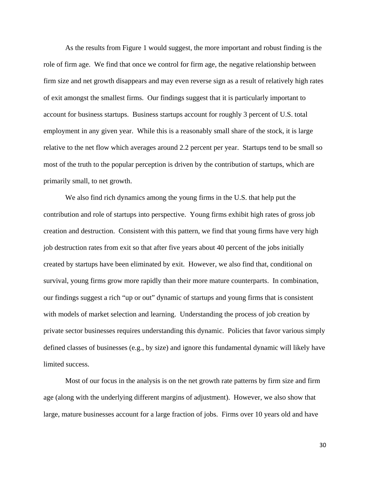As the results from Figure 1 would suggest, the more important and robust finding is the role of firm age. We find that once we control for firm age, the negative relationship between firm size and net growth disappears and may even reverse sign as a result of relatively high rates of exit amongst the smallest firms. Our findings suggest that it is particularly important to account for business startups. Business startups account for roughly 3 percent of U.S. total employment in any given year. While this is a reasonably small share of the stock, it is large relative to the net flow which averages around 2.2 percent per year. Startups tend to be small so most of the truth to the popular perception is driven by the contribution of startups, which are primarily small, to net growth.

We also find rich dynamics among the young firms in the U.S. that help put the contribution and role of startups into perspective. Young firms exhibit high rates of gross job creation and destruction. Consistent with this pattern, we find that young firms have very high job destruction rates from exit so that after five years about 40 percent of the jobs initially created by startups have been eliminated by exit. However, we also find that, conditional on survival, young firms grow more rapidly than their more mature counterparts. In combination, our findings suggest a rich "up or out" dynamic of startups and young firms that is consistent with models of market selection and learning. Understanding the process of job creation by private sector businesses requires understanding this dynamic. Policies that favor various simply defined classes of businesses (e.g., by size) and ignore this fundamental dynamic will likely have limited success.

Most of our focus in the analysis is on the net growth rate patterns by firm size and firm age (along with the underlying different margins of adjustment). However, we also show that large, mature businesses account for a large fraction of jobs. Firms over 10 years old and have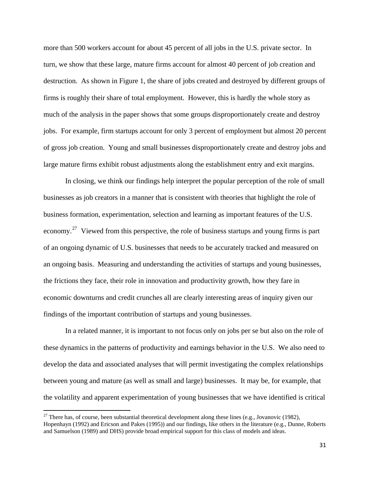<span id="page-31-0"></span>more than 500 workers account for about 45 percent of all jobs in the U.S. private sector. In turn, we show that these large, mature firms account for almost 40 percent of job creation and destruction. As shown in Figure 1, the share of jobs created and destroyed by different groups of firms is roughly their share of total employment. However, this is hardly the whole story as much of the analysis in the paper shows that some groups disproportionately create and destroy jobs. For example, firm startups account for only 3 percent of employment but almost 20 percent of gross job creation. Young and small businesses disproportionately create and destroy jobs and large mature firms exhibit robust adjustments along the establishment entry and exit margins.

In closing, we think our findings help interpret the popular perception of the role of small businesses as job creators in a manner that is consistent with theories that highlight the role of business formation, experimentation, selection and learning as important features of the U.S. economy.<sup>[27](#page-31-0)</sup> Viewed from this perspective, the role of business startups and young firms is part of an ongoing dynamic of U.S. businesses that needs to be accurately tracked and measured on an ongoing basis. Measuring and understanding the activities of startups and young businesses, the frictions they face, their role in innovation and productivity growth, how they fare in economic downturns and credit crunches all are clearly interesting areas of inquiry given our findings of the important contribution of startups and young businesses.

In a related manner, it is important to not focus only on jobs per se but also on the role of these dynamics in the patterns of productivity and earnings behavior in the U.S. We also need to develop the data and associated analyses that will permit investigating the complex relationships between young and mature (as well as small and large) businesses. It may be, for example, that the volatility and apparent experimentation of young businesses that we have identified is critical

<sup>&</sup>lt;sup>27</sup> There has, of course, been substantial theoretical development along these lines (e.g., Jovanovic (1982), Hopenhayn (1992) and Ericson and Pakes (1995)) and our findings, like others in the literature (e.g., Dunne, Roberts and Samuelson (1989) and DHS) provide broad empirical support for this class of models and ideas.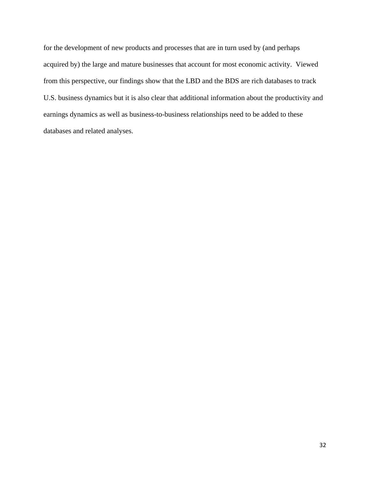for the development of new products and processes that are in turn used by (and perhaps acquired by) the large and mature businesses that account for most economic activity. Viewed from this perspective, our findings show that the LBD and the BDS are rich databases to track U.S. business dynamics but it is also clear that additional information about the productivity and earnings dynamics as well as business-to-business relationships need to be added to these databases and related analyses.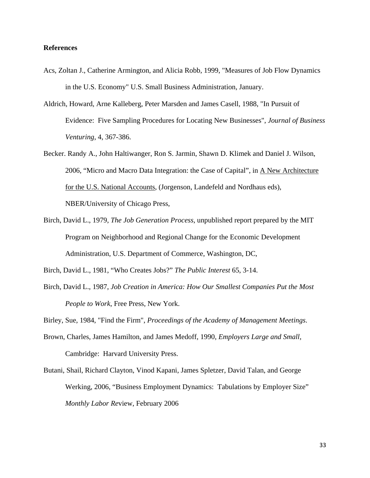## **References**

- Acs, Zoltan J., Catherine Armington, and Alicia Robb, 1999, "Measures of Job Flow Dynamics in the U.S. Economy" U.S. Small Business Administration, January.
- Aldrich, Howard, Arne Kalleberg, Peter Marsden and James Casell, 1988, "In Pursuit of Evidence: Five Sampling Procedures for Locating New Businesses", *Journal of Business Venturing*, 4, 367-386.
- Becker. Randy A., John Haltiwanger, Ron S. Jarmin, Shawn D. Klimek and Daniel J. Wilson, 2006, "Micro and Macro Data Integration: the Case of Capital", in A New Architecture for the U.S. National Accounts, (Jorgenson, Landefeld and Nordhaus eds), NBER/University of Chicago Press,
- Birch, David L., 1979, *The Job Generation Process*, unpublished report prepared by the MIT Program on Neighborhood and Regional Change for the Economic Development Administration, U.S. Department of Commerce, Washington, DC,

Birch, David L., 1981, "Who Creates Jobs?" *The Public Interest* 65, 3-14.

Birch, David L., 1987, *Job Creation in America: How Our Smallest Companies Put the Most People to Work*, Free Press, New York.

Birley, Sue, 1984, "Find the Firm", *Proceedings of the Academy of Management Meetings*.

- Brown, Charles, James Hamilton, and James Medoff, 1990, *Employers Large and Small*, Cambridge: Harvard University Press.
- Butani, Shail, Richard Clayton, Vinod Kapani, James Spletzer, David Talan, and George Werking, 2006, "Business Employment Dynamics: Tabulations by Employer Size" *Monthly Labor Re*view, February 2006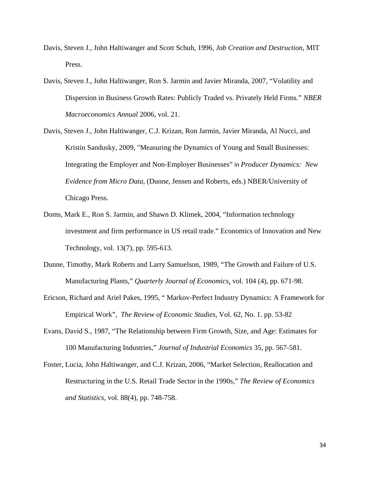- Davis, Steven J., John Haltiwanger and Scott Schuh, 1996, *Job Creation and Destruction*, MIT Press.
- Davis, Steven J., John Haltiwanger, Ron S. Jarmin and Javier Miranda, 2007, "Volatility and Dispersion in Business Growth Rates: Publicly Traded vs. Privately Held Firms." *NBER Macroeconomics Annual* 2006, vol. 21.
- Davis, Steven J., John Haltiwanger, C.J. Krizan, Ron Jarmin, Javier Miranda, Al Nucci, and Kristin Sandusky, 2009, "Measuring the Dynamics of Young and Small Businesses: Integrating the Employer and Non-Employer Businesses" in *Producer Dynamics: New Evidence from Micro Data*, (Dunne, Jensen and Roberts, eds.) NBER/University of Chicago Press.
- Doms, Mark E., Ron S. Jarmin, and Shawn D. Klimek, 2004, "Information technology investment and firm performance in US retail trade." Economics of Innovation and New Technology, vol. 13(7), pp. 595-613.
- Dunne, Timothy, Mark Roberts and Larry Samuelson, 1989, "The Growth and Failure of U.S. Manufacturing Plants," *Quarterly Journal of Economics*, vol. 104 (4), pp. 671-98.
- Ericson, Richard and Ariel Pakes, 1995, " Markov-Perfect Industry Dynamics: A Framework for Empirical Work", *The Review of Economic Studies*, Vol. 62, No. 1. pp. 53-82
- Evans, David S., 1987, "The Relationship between Firm Growth, Size, and Age: Estimates for 100 Manufacturing Industries," *Journal of Industrial Economics* 35, pp. 567-581.
- Foster, Lucia, John Haltiwanger, and C.J. Krizan, 2006, "Market Selection, Reallocation and Restructuring in the U.S. Retail Trade Sector in the 1990s," *The Review of Economics and Statistics*, vol. 88(4), pp. 748-758.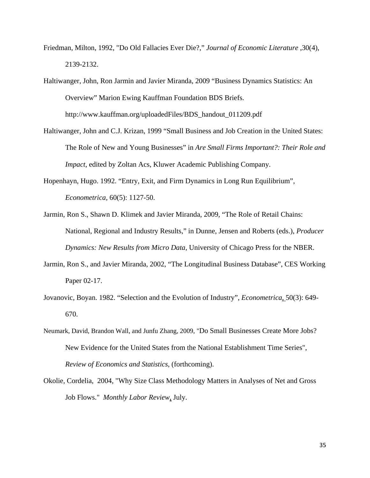Friedman, Milton, 1992, "Do Old Fallacies Ever Die?," *Journal of Economic Literature* ,30(4), 2139-2132.

Haltiwanger, John, Ron Jarmin and Javier Miranda, 2009 "Business Dynamics Statistics: An Overview" Marion Ewing Kauffman Foundation BDS Briefs. http://www.kauffman.org/uploadedFiles/BDS\_handout\_011209.pdf

- Haltiwanger, John and C.J. Krizan, 1999 "Small Business and Job Creation in the United States: The Role of New and Young Businesses" in *Are Small Firms Important?: Their Role and Impact*, edited by Zoltan Acs, Kluwer Academic Publishing Company.
- Hopenhayn, Hugo. 1992. "Entry, Exit, and Firm Dynamics in Long Run Equilibrium", *Econometrica*, 60(5): 1127-50.
- Jarmin, Ron S., Shawn D. Klimek and Javier Miranda, 2009, "The Role of Retail Chains: National, Regional and Industry Results," in Dunne, Jensen and Roberts (eds.), *Producer Dynamics: New Results from Micro Data*, University of Chicago Press for the NBER.
- Jarmin, Ron S., and Javier Miranda, 2002, "The Longitudinal Business Database", CES Working Paper 02-17.
- Jovanovic, Boyan. 1982. "Selection and the Evolution of Industry", *Econometrica*, 50(3): 649- 670.
- Neumark, David, Brandon Wall, and Junfu Zhang, 2009, "Do Small Businesses Create More Jobs? New Evidence for the United States from the National Establishment Time Series", *Review of Economics and Statistics*, (forthcoming).
- Okolie, Cordelia, 2004, "Why Size Class Methodology Matters in Analyses of Net and Gross Job Flows." *Monthly Labor Review*, July.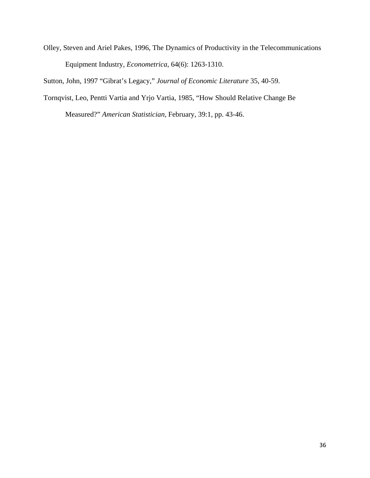Olley, Steven and Ariel Pakes, 1996, The Dynamics of Productivity in the Telecommunications Equipment Industry, *Econometrica*, 64(6): 1263-1310.

Sutton, John, 1997 "Gibrat's Legacy," *Journal of Economic Literature* 35, 40-59.

Tornqvist, Leo, Pentti Vartia and Yrjo Vartia, 1985, "How Should Relative Change Be

Measured?" *American Statistician,* February, 39:1, pp. 43-46.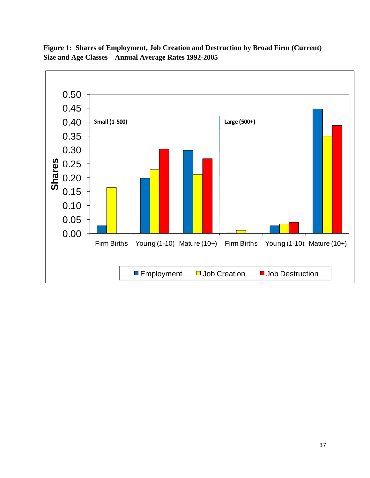

**Figure 1: Shares of Employment, Job Creation and Destruction by Broad Firm (Current) Size and Age Classes – Annual Average Rates 1992-2005**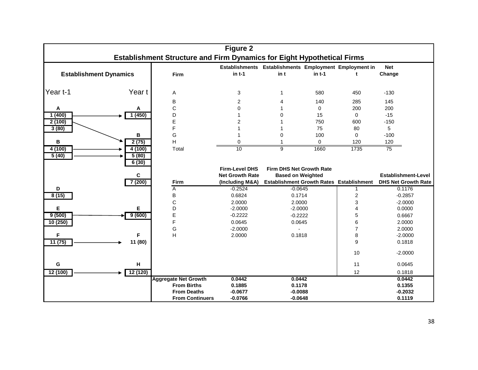|                               |                          |                                                                               | <b>Figure 2</b>              |                                                                                     |             |          |                                      |
|-------------------------------|--------------------------|-------------------------------------------------------------------------------|------------------------------|-------------------------------------------------------------------------------------|-------------|----------|--------------------------------------|
|                               |                          | <b>Establishment Structure and Firm Dynamics for Eight Hypothetical Firms</b> |                              |                                                                                     |             |          |                                      |
| <b>Establishment Dynamics</b> |                          | Firm                                                                          | $in t-1$                     | Establishments Establishments Employment Employment in<br>$\mathsf{in}\ \mathsf{t}$ | $in t-1$    |          | <b>Net</b><br>Change                 |
| Year t-1                      | Year t                   | Α                                                                             | 3                            | $\mathbf{1}$                                                                        | 580         | 450      | $-130$                               |
|                               |                          | В                                                                             | 2                            | 4                                                                                   | 140         | 285      | 145                                  |
| Α                             | Α                        | C                                                                             | 0                            | 1                                                                                   | $\mathbf 0$ | 200      | 200                                  |
| 1(400)                        | 1(450)                   | D                                                                             |                              | $\Omega$                                                                            | 15          | 0        | $-15$                                |
| 2(100)                        |                          | E                                                                             | 2                            |                                                                                     | 750         | 600      | $-150$                               |
| 3(80)                         |                          | F                                                                             |                              |                                                                                     | 75          | 80       | 5                                    |
|                               | B                        | G                                                                             |                              | $\Omega$                                                                            | 100         | $\Omega$ | $-100$                               |
| $\, {\bf B} \,$               | 2(75)                    | H                                                                             | 0                            |                                                                                     | 0           | 120      | 120                                  |
| 4(100)<br>5(40)               | 4(100)<br>5(80)<br>6(30) | Total                                                                         | 10                           | $\overline{9}$                                                                      | 1660        | 1735     | 75                                   |
|                               |                          |                                                                               | <b>Firm-Level DHS</b>        | <b>Firm DHS Net Growth Rate</b>                                                     |             |          |                                      |
|                               | C                        |                                                                               | <b>Net Growth Rate</b>       | <b>Based on Weighted</b>                                                            |             |          | Establishment-Level                  |
|                               |                          |                                                                               |                              |                                                                                     |             |          |                                      |
|                               |                          |                                                                               |                              |                                                                                     |             |          |                                      |
| D                             | (200)                    | Firm<br>Ā                                                                     | (Including M&A)<br>$-0.2524$ | Establishment Growth Rates Establishment<br>$-0.0645$                               |             | 1        | <b>DHS Net Growth Rate</b><br>0.1176 |
| 8(15)                         |                          | B                                                                             | 0.6824                       | 0.1714                                                                              |             | 2        | $-0.2857$                            |
|                               |                          | C                                                                             | 2.0000                       | 2.0000                                                                              |             | 3        | $-2.0000$                            |
| E                             | E                        | D                                                                             | $-2.0000$                    | $-2.0000$                                                                           |             | 4        | 0.0000                               |
| 9(500)                        | 9(600)                   | E                                                                             | $-0.2222$                    | $-0.2222$                                                                           |             | 5        | 0.6667                               |
| 10(250)                       |                          | F                                                                             | 0.0645                       | 0.0645                                                                              |             | 6        | 2.0000                               |
|                               |                          | G                                                                             | $-2.0000$                    |                                                                                     |             | 7        | 2.0000                               |
| F                             | F                        | Η                                                                             | 2.0000                       | 0.1818                                                                              |             | 8        | $-2.0000$                            |
| 11(75)                        | 11 (80)                  |                                                                               |                              |                                                                                     |             | 9        | 0.1818                               |
|                               |                          |                                                                               |                              |                                                                                     |             | 10       | $-2.0000$                            |
| G                             | н                        |                                                                               |                              |                                                                                     |             | 11       | 0.0645                               |
| 12(100)                       | 12 (120)                 |                                                                               |                              |                                                                                     |             | 12       | 0.1818                               |
|                               |                          | <b>Aggregate Net Growth</b>                                                   | 0.0442                       | 0.0442                                                                              |             |          | 0.0442                               |
|                               |                          | <b>From Births</b>                                                            | 0.1885                       | 0.1178                                                                              |             |          | 0.1355                               |
|                               |                          | <b>From Deaths</b><br><b>From Continuers</b>                                  | $-0.0677$<br>$-0.0766$       | $-0.0088$<br>$-0.0648$                                                              |             |          | $-0.2032$<br>0.1119                  |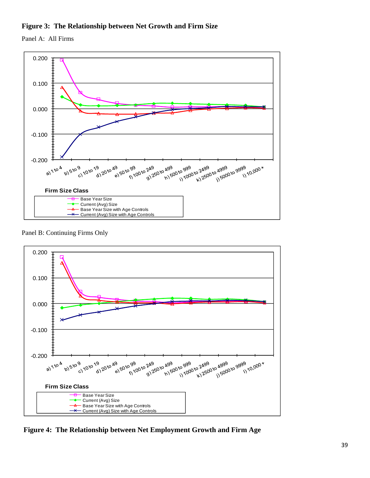## **Figure 3: The Relationship between Net Growth and Firm Size**

Panel A: All Firms



Panel B: Continuing Firms Only



**Figure 4: The Relationship between Net Employment Growth and Firm Age**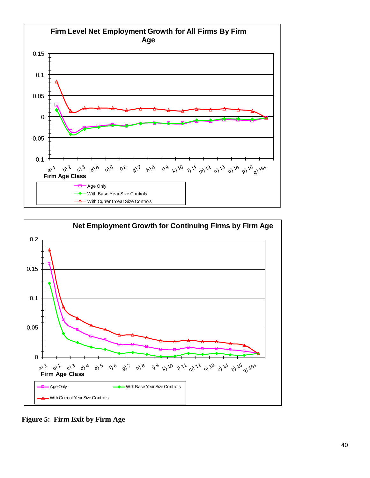



**Figure 5: Firm Exit by Firm Age**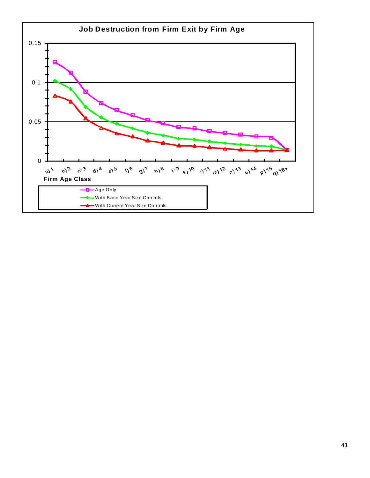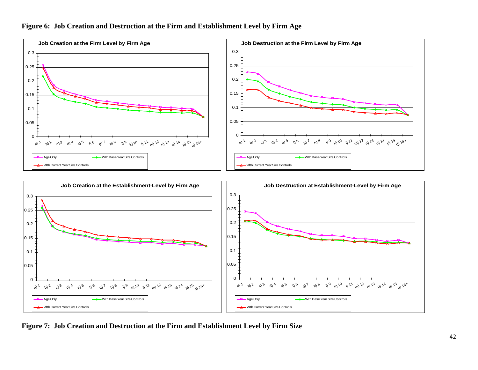

# **Figure 6: Job Creation and Destruction at the Firm and Establishment Level by Firm Age**

**Figure 7: Job Creation and Destruction at the Firm and Establishment Level by Firm Size**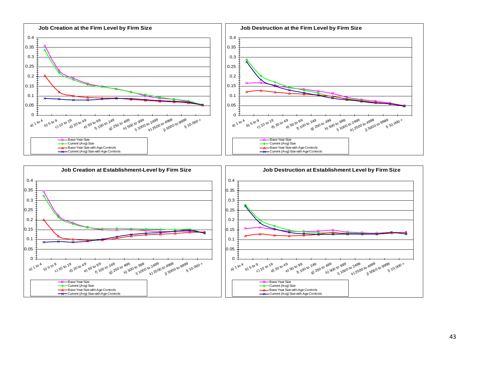

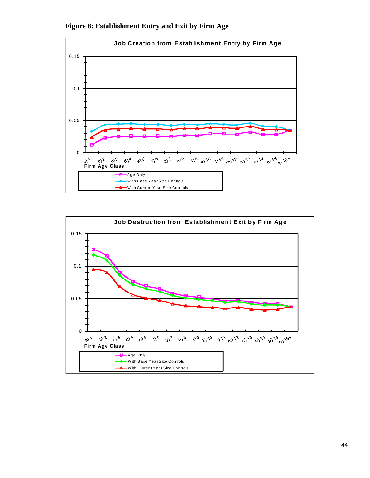



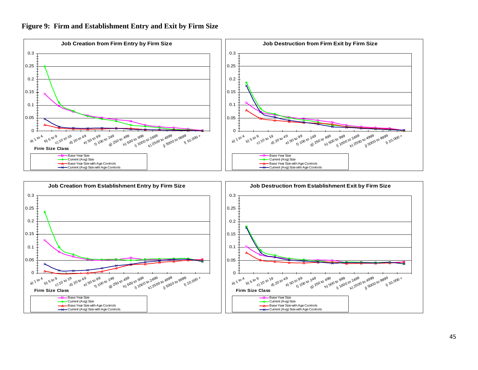

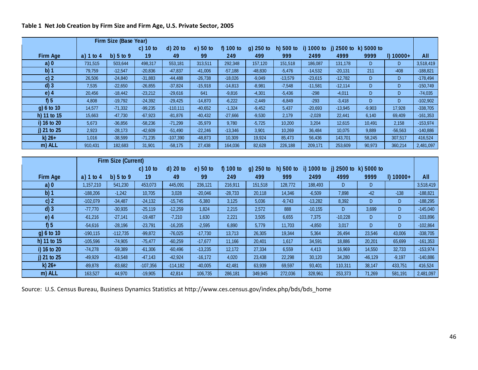|                 | Firm Size (Base Year) |               |            |            |            |             |             |             |           |           |                                  |             |            |
|-----------------|-----------------------|---------------|------------|------------|------------|-------------|-------------|-------------|-----------|-----------|----------------------------------|-------------|------------|
|                 |                       |               | c) $10$ to | $d)$ 20 to | $e)$ 50 to | f) $100$ to | $g)$ 250 to | h) $500$ to |           |           | i) 1000 to i) 2500 to k) 5000 to |             |            |
| <b>Firm Age</b> | a) 1 to 4             | b) $5$ to $9$ | 19         | 49         | 99         | 249         | 499         | 999         | 2499      | 4999      | 9999                             | $I) 10000+$ | All        |
| a) $0$          | 731,515               | 503,644       | 498,317    | 553,181    | 313,511    | 292,348     | 157,120     | 151,518     | 186,087   | 131,178   | D                                | D           | 3,518,419  |
| b) $1$          | 79,759                | $-12,547$     | $-20,836$  | -47,837    | $-41,006$  | $-57,188$   | $-48,830$   | $-5,476$    | $-14,532$ | $-20,131$ | 211                              | $-408$      | $-188,821$ |
| c) $2$          | 26,506                | $-24,840$     | $-31,883$  | -44,488    | $-26,738$  | $-18,026$   | $-9,049$    | $-13,579$   | $-23,615$ | $-12.782$ | D                                | D           | $-178,494$ |
| $d)$ 3          | 7,535                 | $-22,650$     | $-26,855$  | $-37,824$  | $-15,918$  | $-14,813$   | $-8,981$    | $-7,548$    | $-11,581$ | $-12,114$ | D                                | D           | $-150,749$ |
| $e)$ 4          | 20,456                | $-18,442$     | $-23,212$  | $-29,616$  | 641        | $-9,816$    | $-4,301$    | $-5,436$    | $-298$    | $-4,011$  | D                                | D.          | $-74,035$  |
| f) $5$          | 4,808                 | $-19,792$     | $-24,392$  | $-29,425$  | $-14,870$  | $-6,222$    | $-2,449$    | $-6,849$    | $-293$    | $-3,418$  | D                                | D           | $-102,902$ |
| $g$ ) 6 to 10   | 14,577                | $-71,332$     | $-99,235$  | $-110,111$ | $-40,652$  | $-1,324$    | $-9,452$    | 5,437       | $-20,693$ | $-13,945$ | $-9,903$                         | 17,928      | $-338,705$ |
| h) 11 to 15     | 15,663                | $-47,730$     | $-67,923$  | $-81,876$  | $-40,432$  | $-27,666$   | $-9,530$    | 2,179       | $-2,028$  | 22,441    | 6,140                            | 69,409      | $-161,353$ |
| i) 16 to 20     | 5,673                 | $-36,856$     | $-58,236$  | $-71,299$  | $-35,979$  | 9,780       | $-5,725$    | 10,200      | 3,204     | 12,615    | 10,491                           | 2,158       | $-153,974$ |
| j) 21 to 25     | 2,923                 | $-28,173$     | $-42,609$  | $-51,490$  | $-22,246$  | $-13,346$   | 3,901       | 10,269      | 36,484    | 10,075    | 9,889                            | $-56,563$   | $-140,886$ |
| $k) 26+$        | 1,016                 | $-38,599$     | $-71,235$  | $-107,390$ | -48,873    | 10,309      | 19,924      | 85,473      | 56,436    | 143,701   | 58,245                           | 307,517     | 416,524    |
| m) ALL          | 910,431               | 182,683       | 31,901     | $-58,175$  | 27,438     | 164,036     | 82,628      | 226,188     | 209,171   | 253,609   | 90,973                           | 360,214     | 2,481,097  |

**Table 1 Net Job Creation by Firm Size and Firm Age, U.S. Private Sector, 2005**

|               | <b>Firm Size (Current)</b> |               |            |            |           |             |           |           |           |                          |            |             |            |
|---------------|----------------------------|---------------|------------|------------|-----------|-------------|-----------|-----------|-----------|--------------------------|------------|-------------|------------|
|               |                            |               | $c)$ 10 to | d) $20$ to | e) 50 to  | f) $100$ to | g) 250 to | h) 500 to |           | i) 1000 to $j$ ) 2500 to | k) 5000 to |             |            |
| Firm Age      | a) $1$<br>to $4$           | b) $5$ to $9$ | 19         | 49         | 99        | 249         | 499       | 999       | 2499      | 4999                     | 9999       | $I) 10000+$ | All        |
| a)0           | 1,157,210                  | 541,230       | 453,073    | 445,091    | 236,121   | 216,911     | 151,518   | 128,772   | 188,493   | D                        | D          |             | 3,518,419  |
| $b)$ 1        | $-188,206$                 | $-1,242$      | 10,705     | 3,028      | $-20,046$ | $-28,733$   | 20,118    | 14,346    | $-6,509$  | 7,898                    | $-42$      | $-138$      | $-188,821$ |
| c) $2$        | $-102,079$                 | $-34,487$     | $-24,132$  | $-15,745$  | $-5,380$  | 3,125       | 5,036     | $-9,743$  | $-13,282$ | 8,392                    | D          | D           | $-188,295$ |
| $d)$ 3        | $-77,770$                  | $-30,935$     | $-25,119$  | $-12,259$  | 1,824     | 2,215       | 2,572     | 888       | $-10,155$ | D                        | 3,699      | D           | $-145,040$ |
| $e)$ 4        | $-61,216$                  | $-27,141$     | $-19,487$  | $-7,210$   | 1,630     | 2,221       | 3,505     | 6,655     | 7,375     | $-10,228$                | D          | D           | $-103,896$ |
| f) $5$        | $-54,616$                  | $-28,196$     | $-23,791$  | $-16,205$  | $-2,595$  | 6,890       | 5,779     | 11,703    | $-4,850$  | 3,017                    | D.         | D.          | $-102,864$ |
| g) 6 to 10    | $-190, 115$                | $-112,735$    | $-99,872$  | $-76,025$  | $-17,730$ | 13,713      | 26,305    | 19,344    | 5,364     | 26,494                   | 23,546     | 43,006      | $-338,705$ |
| h) 11 to 15   | $-105,596$                 | $-74,905$     | $-75,477$  | $-60,259$  | $-17,677$ | 11,166      | 20,401    | 1,617     | 34,591    | 18,886                   | 20,201     | 65,699      | $-161,353$ |
| i) 16 to 20   | $-74,278$                  | $-59,389$     | $-61,306$  | $-60,496$  | $-13,235$ | 12,172      | 27,334    | 6,559     | 4,413     | 16,969                   | 14,550     | 32,733      | $-153,974$ |
| $i)$ 21 to 25 | -49,929                    | $-43,548$     | $-47,143$  | $-42,924$  | $-16,172$ | 4,020       | 23,438    | 22,298    | 30,120    | 34,280                   | $-46,129$  | $-9,197$    | $-140,886$ |
| $k) 26+$      | $-89,878$                  | $-83,682$     | $-107,356$ | $-114,182$ | $-40,005$ | 42,481      | 63,939    | 69,597    | 93,401    | 110,311                  | 38,147     | 433,751     | 416,524    |
| m) ALL        | 163,527                    | 44,970        | $-19,905$  | 42,814     | 106,735   | 286,181     | 349,945   | 272,036   | 328,961   | 253,373                  | 71,269     | 581,191     | 2,481,097  |

Source: U.S. Census Bureau, Business Dynamics Statistics at http://www.ces.census.gov/index.php/bds/bds\_home